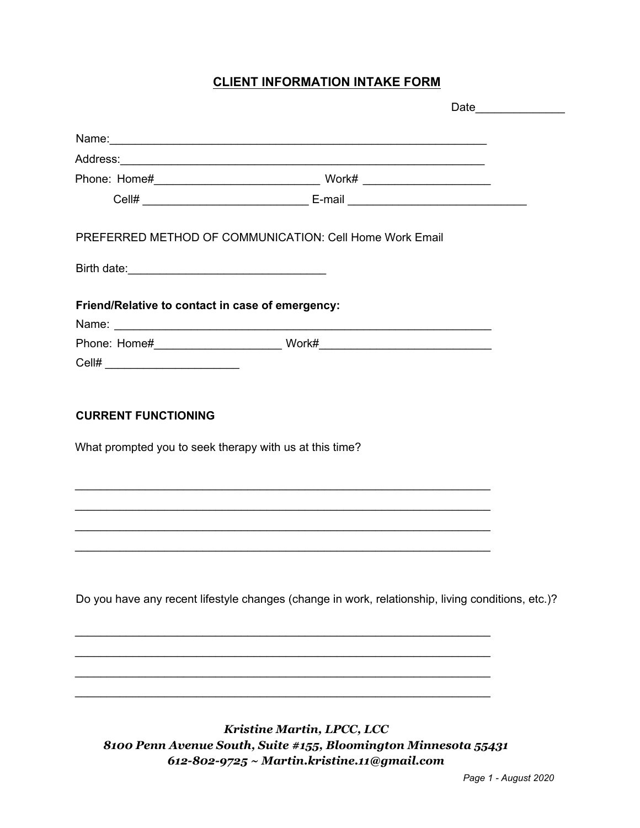## **CLIENT INFORMATION INTAKE FORM**

|                                                                                       | PREFERRED METHOD OF COMMUNICATION: Cell Home Work Email                                           |  |
|---------------------------------------------------------------------------------------|---------------------------------------------------------------------------------------------------|--|
|                                                                                       |                                                                                                   |  |
| Friend/Relative to contact in case of emergency:                                      |                                                                                                   |  |
|                                                                                       |                                                                                                   |  |
|                                                                                       |                                                                                                   |  |
| Cell# ___________________________                                                     |                                                                                                   |  |
| <b>CURRENT FUNCTIONING</b><br>What prompted you to seek therapy with us at this time? |                                                                                                   |  |
|                                                                                       |                                                                                                   |  |
|                                                                                       | Do you have any recent lifestyle changes (change in work, relationship, living conditions, etc.)? |  |
|                                                                                       |                                                                                                   |  |
|                                                                                       |                                                                                                   |  |
|                                                                                       |                                                                                                   |  |

*Kristine Martin, LPCC, LCC 8100 Penn Avenue South, Suite #155, Bloomington Minnesota 55431 612-802-9725 ~ Martin.kristine.11@gmail.com*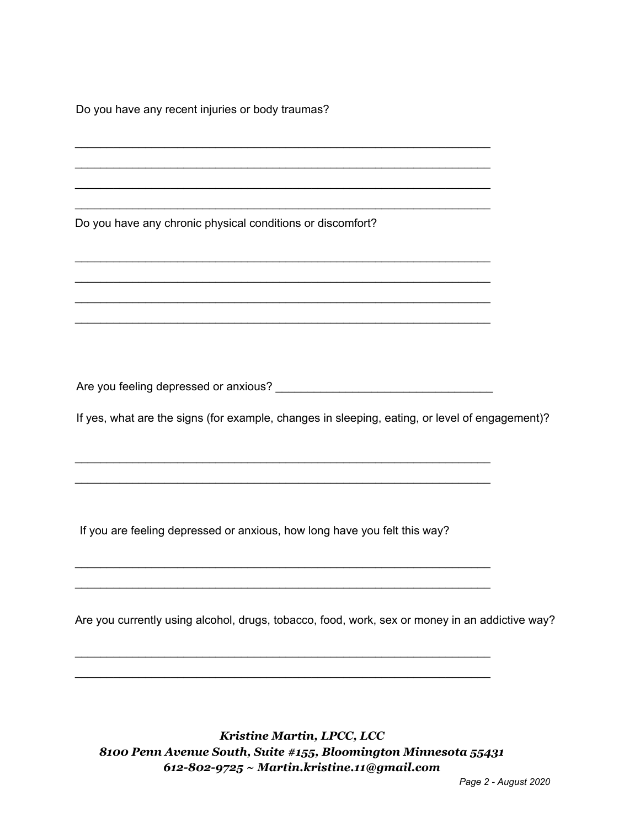Do you have any recent injuries or body traumas?

Do you have any chronic physical conditions or discomfort?

Are you feeling depressed or anxious? **Example 2018** 

\_\_\_\_\_\_\_\_\_\_\_\_\_\_\_\_\_\_\_\_\_\_\_\_\_\_\_\_\_\_\_\_\_\_\_\_\_\_\_\_\_\_\_\_\_\_\_\_\_\_\_\_\_\_\_\_\_\_\_\_\_\_\_\_\_ \_\_\_\_\_\_\_\_\_\_\_\_\_\_\_\_\_\_\_\_\_\_\_\_\_\_\_\_\_\_\_\_\_\_\_\_\_\_\_\_\_\_\_\_\_\_\_\_\_\_\_\_\_\_\_\_\_\_\_\_\_\_\_\_\_

\_\_\_\_\_\_\_\_\_\_\_\_\_\_\_\_\_\_\_\_\_\_\_\_\_\_\_\_\_\_\_\_\_\_\_\_\_\_\_\_\_\_\_\_\_\_\_\_\_\_\_\_\_\_\_\_\_\_\_\_\_\_\_\_\_ \_\_\_\_\_\_\_\_\_\_\_\_\_\_\_\_\_\_\_\_\_\_\_\_\_\_\_\_\_\_\_\_\_\_\_\_\_\_\_\_\_\_\_\_\_\_\_\_\_\_\_\_\_\_\_\_\_\_\_\_\_\_\_\_\_

\_\_\_\_\_\_\_\_\_\_\_\_\_\_\_\_\_\_\_\_\_\_\_\_\_\_\_\_\_\_\_\_\_\_\_\_\_\_\_\_\_\_\_\_\_\_\_\_\_\_\_\_\_\_\_\_\_\_\_\_\_\_\_\_\_ \_\_\_\_\_\_\_\_\_\_\_\_\_\_\_\_\_\_\_\_\_\_\_\_\_\_\_\_\_\_\_\_\_\_\_\_\_\_\_\_\_\_\_\_\_\_\_\_\_\_\_\_\_\_\_\_\_\_\_\_\_\_\_\_\_

\_\_\_\_\_\_\_\_\_\_\_\_\_\_\_\_\_\_\_\_\_\_\_\_\_\_\_\_\_\_\_\_\_\_\_\_\_\_\_\_\_\_\_\_\_\_\_\_\_\_\_\_\_\_\_\_\_\_\_\_\_\_\_\_\_ \_\_\_\_\_\_\_\_\_\_\_\_\_\_\_\_\_\_\_\_\_\_\_\_\_\_\_\_\_\_\_\_\_\_\_\_\_\_\_\_\_\_\_\_\_\_\_\_\_\_\_\_\_\_\_\_\_\_\_\_\_\_\_\_\_ \_\_\_\_\_\_\_\_\_\_\_\_\_\_\_\_\_\_\_\_\_\_\_\_\_\_\_\_\_\_\_\_\_\_\_\_\_\_\_\_\_\_\_\_\_\_\_\_\_\_\_\_\_\_\_\_\_\_\_\_\_\_\_\_\_ \_\_\_\_\_\_\_\_\_\_\_\_\_\_\_\_\_\_\_\_\_\_\_\_\_\_\_\_\_\_\_\_\_\_\_\_\_\_\_\_\_\_\_\_\_\_\_\_\_\_\_\_\_\_\_\_\_\_\_\_\_\_\_\_\_

\_\_\_\_\_\_\_\_\_\_\_\_\_\_\_\_\_\_\_\_\_\_\_\_\_\_\_\_\_\_\_\_\_\_\_\_\_\_\_\_\_\_\_\_\_\_\_\_\_\_\_\_\_\_\_\_\_\_\_\_\_\_\_\_\_ \_\_\_\_\_\_\_\_\_\_\_\_\_\_\_\_\_\_\_\_\_\_\_\_\_\_\_\_\_\_\_\_\_\_\_\_\_\_\_\_\_\_\_\_\_\_\_\_\_\_\_\_\_\_\_\_\_\_\_\_\_\_\_\_\_ \_\_\_\_\_\_\_\_\_\_\_\_\_\_\_\_\_\_\_\_\_\_\_\_\_\_\_\_\_\_\_\_\_\_\_\_\_\_\_\_\_\_\_\_\_\_\_\_\_\_\_\_\_\_\_\_\_\_\_\_\_\_\_\_\_ \_\_\_\_\_\_\_\_\_\_\_\_\_\_\_\_\_\_\_\_\_\_\_\_\_\_\_\_\_\_\_\_\_\_\_\_\_\_\_\_\_\_\_\_\_\_\_\_\_\_\_\_\_\_\_\_\_\_\_\_\_\_\_\_\_

If yes, what are the signs (for example, changes in sleeping, eating, or level of engagement)?

If you are feeling depressed or anxious, how long have you felt this way?

Are you currently using alcohol, drugs, tobacco, food, work, sex or money in an addictive way?

*Kristine Martin, LPCC, LCC 8100 Penn Avenue South, Suite #155, Bloomington Minnesota 55431 612-802-9725 ~ Martin.kristine.11@gmail.com*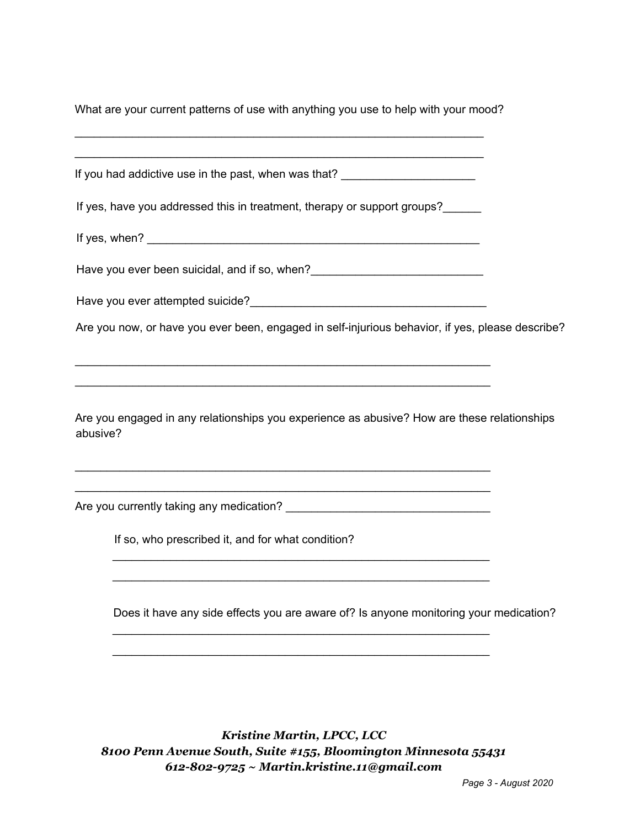What are your current patterns of use with anything you use to help with your mood?

\_\_\_\_\_\_\_\_\_\_\_\_\_\_\_\_\_\_\_\_\_\_\_\_\_\_\_\_\_\_\_\_\_\_\_\_\_\_\_\_\_\_\_\_\_\_\_\_\_\_\_\_\_\_\_\_\_\_\_\_\_\_\_\_

| If you had addictive use in the past, when was that? __________________________                         |  |
|---------------------------------------------------------------------------------------------------------|--|
| If yes, have you addressed this in treatment, therapy or support groups?                                |  |
|                                                                                                         |  |
| Have you ever been suicidal, and if so, when?___________________________________                        |  |
|                                                                                                         |  |
| Are you now, or have you ever been, engaged in self-injurious behavior, if yes, please describe?        |  |
| ,我们也不能在这里的人,我们也不能在这里的人,我们也不能在这里的人,我们也不能在这里的人,我们也不能在这里的人,我们也不能在这里的人,我们也不能在这里的人,我们也                       |  |
| Are you engaged in any relationships you experience as abusive? How are these relationships<br>abusive? |  |
|                                                                                                         |  |
| If so, who prescribed it, and for what condition?                                                       |  |

Does it have any side effects you are aware of? Is anyone monitoring your medication?

\_\_\_\_\_\_\_\_\_\_\_\_\_\_\_\_\_\_\_\_\_\_\_\_\_\_\_\_\_\_\_\_\_\_\_\_\_\_\_\_\_\_\_\_\_\_\_\_\_\_\_\_\_\_\_\_\_\_\_

*Kristine Martin, LPCC, LCC 8100 Penn Avenue South, Suite #155, Bloomington Minnesota 55431 612-802-9725 ~ Martin.kristine.11@gmail.com*

\_\_\_\_\_\_\_\_\_\_\_\_\_\_\_\_\_\_\_\_\_\_\_\_\_\_\_\_\_\_\_\_\_\_\_\_\_\_\_\_\_\_\_\_\_\_\_\_\_\_\_\_\_\_\_\_\_\_\_

\_\_\_\_\_\_\_\_\_\_\_\_\_\_\_\_\_\_\_\_\_\_\_\_\_\_\_\_\_\_\_\_\_\_\_\_\_\_\_\_\_\_\_\_\_\_\_\_\_\_\_\_\_\_\_\_\_\_\_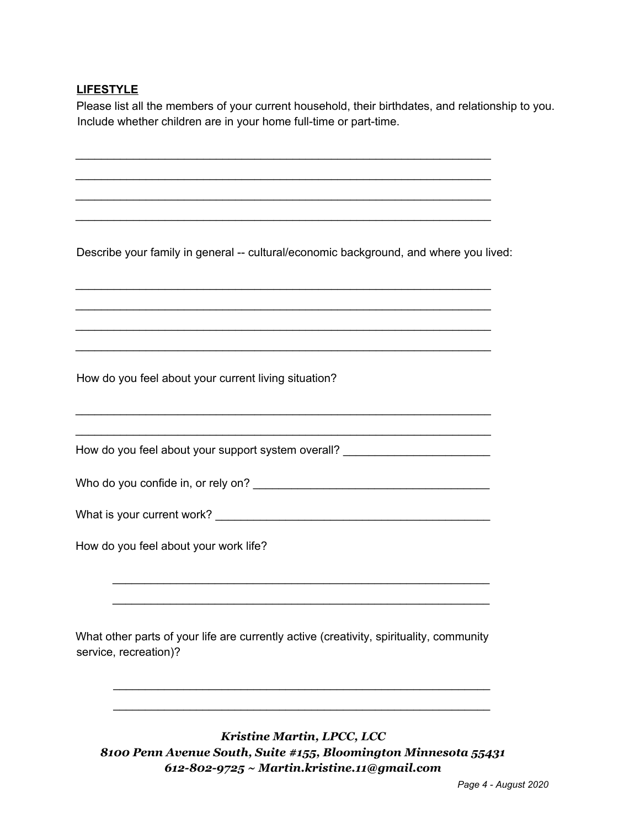## **LIFESTYLE**

Please list all the members of your current household, their birthdates, and relationship to you. Include whether children are in your home full-time or part-time.

Describe your family in general -- cultural/economic background, and where you lived:

\_\_\_\_\_\_\_\_\_\_\_\_\_\_\_\_\_\_\_\_\_\_\_\_\_\_\_\_\_\_\_\_\_\_\_\_\_\_\_\_\_\_\_\_\_\_\_\_\_\_\_\_\_\_\_\_\_\_\_\_\_\_\_\_\_ \_\_\_\_\_\_\_\_\_\_\_\_\_\_\_\_\_\_\_\_\_\_\_\_\_\_\_\_\_\_\_\_\_\_\_\_\_\_\_\_\_\_\_\_\_\_\_\_\_\_\_\_\_\_\_\_\_\_\_\_\_\_\_\_\_ \_\_\_\_\_\_\_\_\_\_\_\_\_\_\_\_\_\_\_\_\_\_\_\_\_\_\_\_\_\_\_\_\_\_\_\_\_\_\_\_\_\_\_\_\_\_\_\_\_\_\_\_\_\_\_\_\_\_\_\_\_\_\_\_\_ \_\_\_\_\_\_\_\_\_\_\_\_\_\_\_\_\_\_\_\_\_\_\_\_\_\_\_\_\_\_\_\_\_\_\_\_\_\_\_\_\_\_\_\_\_\_\_\_\_\_\_\_\_\_\_\_\_\_\_\_\_\_\_\_\_

\_\_\_\_\_\_\_\_\_\_\_\_\_\_\_\_\_\_\_\_\_\_\_\_\_\_\_\_\_\_\_\_\_\_\_\_\_\_\_\_\_\_\_\_\_\_\_\_\_\_\_\_\_\_\_\_\_\_\_\_\_\_\_\_\_ \_\_\_\_\_\_\_\_\_\_\_\_\_\_\_\_\_\_\_\_\_\_\_\_\_\_\_\_\_\_\_\_\_\_\_\_\_\_\_\_\_\_\_\_\_\_\_\_\_\_\_\_\_\_\_\_\_\_\_\_\_\_\_\_\_

\_\_\_\_\_\_\_\_\_\_\_\_\_\_\_\_\_\_\_\_\_\_\_\_\_\_\_\_\_\_\_\_\_\_\_\_\_\_\_\_\_\_\_\_\_\_\_\_\_\_\_\_\_\_\_\_\_\_\_\_\_\_\_\_\_ \_\_\_\_\_\_\_\_\_\_\_\_\_\_\_\_\_\_\_\_\_\_\_\_\_\_\_\_\_\_\_\_\_\_\_\_\_\_\_\_\_\_\_\_\_\_\_\_\_\_\_\_\_\_\_\_\_\_\_\_\_\_\_\_\_ \_\_\_\_\_\_\_\_\_\_\_\_\_\_\_\_\_\_\_\_\_\_\_\_\_\_\_\_\_\_\_\_\_\_\_\_\_\_\_\_\_\_\_\_\_\_\_\_\_\_\_\_\_\_\_\_\_\_\_\_\_\_\_\_\_ \_\_\_\_\_\_\_\_\_\_\_\_\_\_\_\_\_\_\_\_\_\_\_\_\_\_\_\_\_\_\_\_\_\_\_\_\_\_\_\_\_\_\_\_\_\_\_\_\_\_\_\_\_\_\_\_\_\_\_\_\_\_\_\_\_

How do you feel about your current living situation?

How do you feel about your support system overall?

Who do you confide in, or rely on?

| What is your current work? |
|----------------------------|
|----------------------------|

How do you feel about your work life?

What other parts of your life are currently active (creativity, spirituality, community service, recreation)?

\_\_\_\_\_\_\_\_\_\_\_\_\_\_\_\_\_\_\_\_\_\_\_\_\_\_\_\_\_\_\_\_\_\_\_\_\_\_\_\_\_\_\_\_\_\_\_\_\_\_\_\_\_\_\_\_\_\_\_ \_\_\_\_\_\_\_\_\_\_\_\_\_\_\_\_\_\_\_\_\_\_\_\_\_\_\_\_\_\_\_\_\_\_\_\_\_\_\_\_\_\_\_\_\_\_\_\_\_\_\_\_\_\_\_\_\_\_\_

*Kristine Martin, LPCC, LCC 8100 Penn Avenue South, Suite #155, Bloomington Minnesota 55431 612-802-9725 ~ Martin.kristine.11@gmail.com*

\_\_\_\_\_\_\_\_\_\_\_\_\_\_\_\_\_\_\_\_\_\_\_\_\_\_\_\_\_\_\_\_\_\_\_\_\_\_\_\_\_\_\_\_\_\_\_\_\_\_\_\_\_\_\_\_\_\_\_ \_\_\_\_\_\_\_\_\_\_\_\_\_\_\_\_\_\_\_\_\_\_\_\_\_\_\_\_\_\_\_\_\_\_\_\_\_\_\_\_\_\_\_\_\_\_\_\_\_\_\_\_\_\_\_\_\_\_\_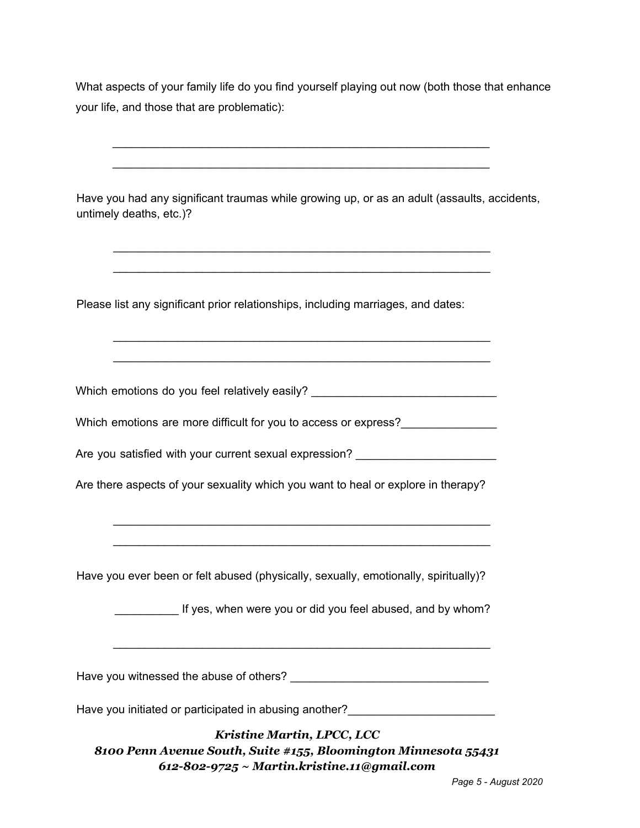What aspects of your family life do you find yourself playing out now (both those that enhance your life, and those that are problematic):

\_\_\_\_\_\_\_\_\_\_\_\_\_\_\_\_\_\_\_\_\_\_\_\_\_\_\_\_\_\_\_\_\_\_\_\_\_\_\_\_\_\_\_\_\_\_\_\_\_\_\_\_\_\_\_\_\_\_\_

\_\_\_\_\_\_\_\_\_\_\_\_\_\_\_\_\_\_\_\_\_\_\_\_\_\_\_\_\_\_\_\_\_\_\_\_\_\_\_\_\_\_\_\_\_\_\_\_\_\_\_\_\_\_\_\_\_\_\_ Have you had any significant traumas while growing up, or as an adult (assaults, accidents, untimely deaths, etc.)? \_\_\_\_\_\_\_\_\_\_\_\_\_\_\_\_\_\_\_\_\_\_\_\_\_\_\_\_\_\_\_\_\_\_\_\_\_\_\_\_\_\_\_\_\_\_\_\_\_\_\_\_\_\_\_\_\_\_\_ \_\_\_\_\_\_\_\_\_\_\_\_\_\_\_\_\_\_\_\_\_\_\_\_\_\_\_\_\_\_\_\_\_\_\_\_\_\_\_\_\_\_\_\_\_\_\_\_\_\_\_\_\_\_\_\_\_\_\_ Please list any significant prior relationships, including marriages, and dates: \_\_\_\_\_\_\_\_\_\_\_\_\_\_\_\_\_\_\_\_\_\_\_\_\_\_\_\_\_\_\_\_\_\_\_\_\_\_\_\_\_\_\_\_\_\_\_\_\_\_\_\_\_\_\_\_\_\_\_ \_\_\_\_\_\_\_\_\_\_\_\_\_\_\_\_\_\_\_\_\_\_\_\_\_\_\_\_\_\_\_\_\_\_\_\_\_\_\_\_\_\_\_\_\_\_\_\_\_\_\_\_\_\_\_\_\_\_\_ Which emotions do you feel relatively easily? \_\_\_\_\_\_\_\_\_\_\_\_\_\_\_\_\_\_\_\_\_\_\_\_\_\_\_\_\_\_\_\_\_\_ Which emotions are more difficult for you to access or express?\_\_\_\_\_\_\_\_\_\_\_\_\_\_\_\_\_ Are you satisfied with your current sexual expression? \_\_\_\_\_\_\_\_\_\_\_\_\_\_\_\_\_\_\_\_\_\_\_\_\_ Are there aspects of your sexuality which you want to heal or explore in therapy? \_\_\_\_\_\_\_\_\_\_\_\_\_\_\_\_\_\_\_\_\_\_\_\_\_\_\_\_\_\_\_\_\_\_\_\_\_\_\_\_\_\_\_\_\_\_\_\_\_\_\_\_\_\_\_\_\_\_\_ \_\_\_\_\_\_\_\_\_\_\_\_\_\_\_\_\_\_\_\_\_\_\_\_\_\_\_\_\_\_\_\_\_\_\_\_\_\_\_\_\_\_\_\_\_\_\_\_\_\_\_\_\_\_\_\_\_\_\_ Have you ever been or felt abused (physically, sexually, emotionally, spiritually)? If yes, when were you or did you feel abused, and by whom? \_\_\_\_\_\_\_\_\_\_\_\_\_\_\_\_\_\_\_\_\_\_\_\_\_\_\_\_\_\_\_\_\_\_\_\_\_\_\_\_\_\_\_\_\_\_\_\_\_\_\_\_\_\_\_\_\_\_\_ Have you witnessed the abuse of others? Have you initiated or participated in abusing another? *Kristine Martin, LPCC, LCC 8100 Penn Avenue South, Suite #155, Bloomington Minnesota 55431 612-802-9725 ~ Martin.kristine.11@gmail.com*